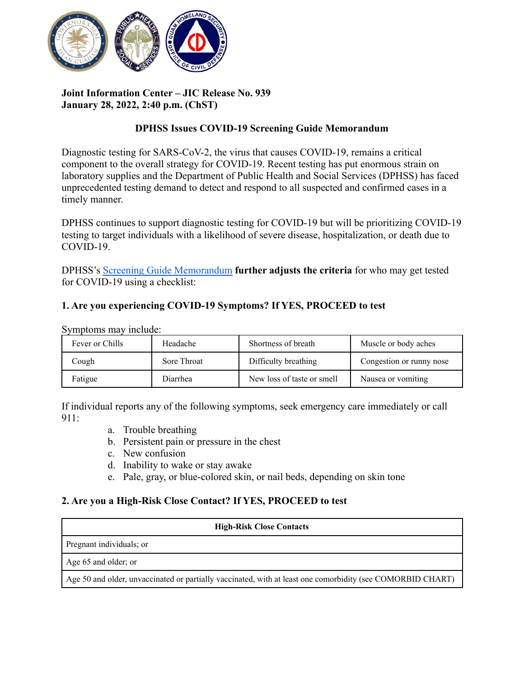

# **Joint Information Center – JIC Release No. 939 January 28, 2022, 2:40 p.m. (ChST)**

## **DPHSS Issues COVID-19 Screening Guide Memorandum**

Diagnostic testing for SARS-CoV-2, the virus that causes COVID-19, remains a critical component to the overall strategy for COVID-19. Recent testing has put enormous strain on laboratory supplies and the Department of Public Health and Social Services (DPHSS) has faced unprecedented testing demand to detect and respond to all suspected and confirmed cases in a timely manner.

DPHSS continues to support diagnostic testing for COVID-19 but will be prioritizing COVID-19 testing to target individuals with a likelihood of severe disease, hospitalization, or death due to COVID-19.

DPHSS's [Screening Guide Memorandum](https://dphss.guam.gov/wp-content/uploads/2022/01/DPHSS-MEMO-SCREENING-GUIDE-FOR-COMM-TEST-SITES-COMM-TESTING-PARTNERS-AND-CHC-01-28-22.pdf) **further adjusts the criteria** for who may get tested for COVID-19 using a checklist:

## **1. Are you experiencing COVID-19 Symptoms? If YES, PROCEED to test**

| Fever or Chills | Headache    | Shortness of breath        | Muscle or body aches     |
|-----------------|-------------|----------------------------|--------------------------|
| Cough           | Sore Throat | Difficulty breathing       | Congestion or runny nose |
| Fatigue         | Diarrhea    | New loss of taste or smell | Nausea or vomiting       |

Symptoms may include:

If individual reports any of the following symptoms, seek emergency care immediately or call 911:

- a. Trouble breathing
- b. Persistent pain or pressure in the chest
- c. New confusion
- d. Inability to wake or stay awake
- e. Pale, gray, or blue-colored skin, or nail beds, depending on skin tone

#### **2. Are you a High-Risk Close Contact? If YES, PROCEED to test**

| <b>High-Risk Close Contacts</b>                                                                            |  |  |
|------------------------------------------------------------------------------------------------------------|--|--|
| Pregnant individuals; or                                                                                   |  |  |
| Age 65 and older; or                                                                                       |  |  |
| Age 50 and older, unvaccinated or partially vaccinated, with at least one comorbidity (see COMORBID CHART) |  |  |